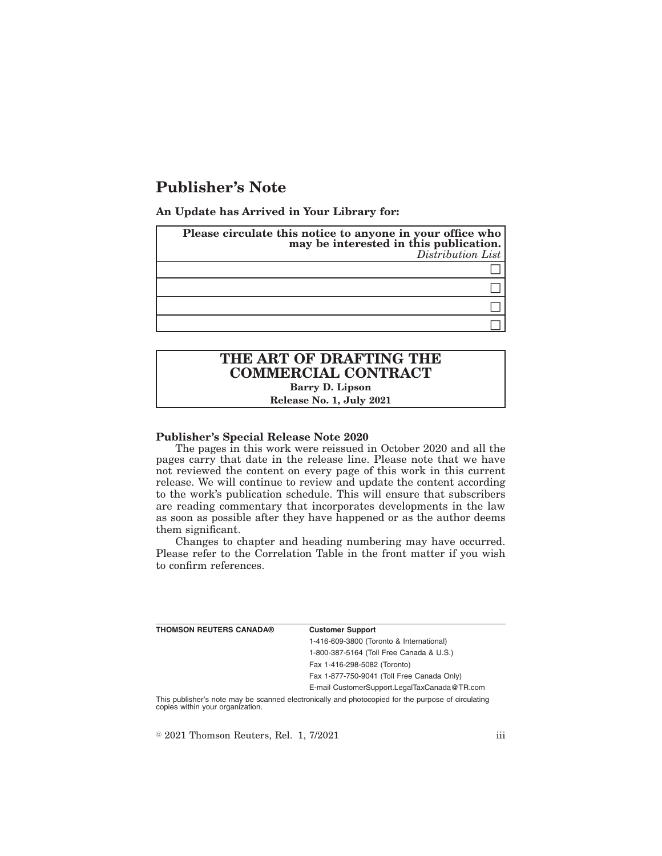## **Publisher's Note**

**An Update has Arrived in Your Library for:**

| Please circulate this notice to anyone in your office who<br>may be interested in this publication.<br>Distribution List |
|--------------------------------------------------------------------------------------------------------------------------|
|                                                                                                                          |
|                                                                                                                          |
|                                                                                                                          |
|                                                                                                                          |

### **THE ART OF DRAFTING THE COMMERCIAL CONTRACT Barry D. Lipson Release No. 1, July 2021**

#### **Publisher's Special Release Note 2020**

The pages in this work were reissued in October 2020 and all the pages carry that date in the release line. Please note that we have not reviewed the content on every page of this work in this current release. We will continue to review and update the content according to the work's publication schedule. This will ensure that subscribers are reading commentary that incorporates developments in the law as soon as possible after they have happened or as the author deems them significant.

Changes to chapter and heading numbering may have occurred. Please refer to the Correlation Table in the front matter if you wish to confirm references.

| THOMSON REUTERS CANADA® | <b>Customer Support</b>                                                                                                                                            |
|-------------------------|--------------------------------------------------------------------------------------------------------------------------------------------------------------------|
|                         | 1-416-609-3800 (Toronto & International)                                                                                                                           |
|                         | 1-800-387-5164 (Toll Free Canada & U.S.)                                                                                                                           |
|                         | Fax 1-416-298-5082 (Toronto)                                                                                                                                       |
|                         | Fax 1-877-750-9041 (Toll Free Canada Only)                                                                                                                         |
|                         | E-mail CustomerSupport.LegalTaxCanada@TR.com                                                                                                                       |
|                         | $\mathbf{r}$ , $\mathbf{r}$ , $\mathbf{r}$ , $\mathbf{r}$ , $\mathbf{r}$ , $\mathbf{r}$ , $\mathbf{r}$ , $\mathbf{r}$ , $\mathbf{r}$ , $\mathbf{r}$ , $\mathbf{r}$ |

This publisher's note may be scanned electronically and photocopied for the purpose of circulating copies within your organization.

 $\textdegree$  2021 Thomson Reuters, Rel. 1, 7/2021 iii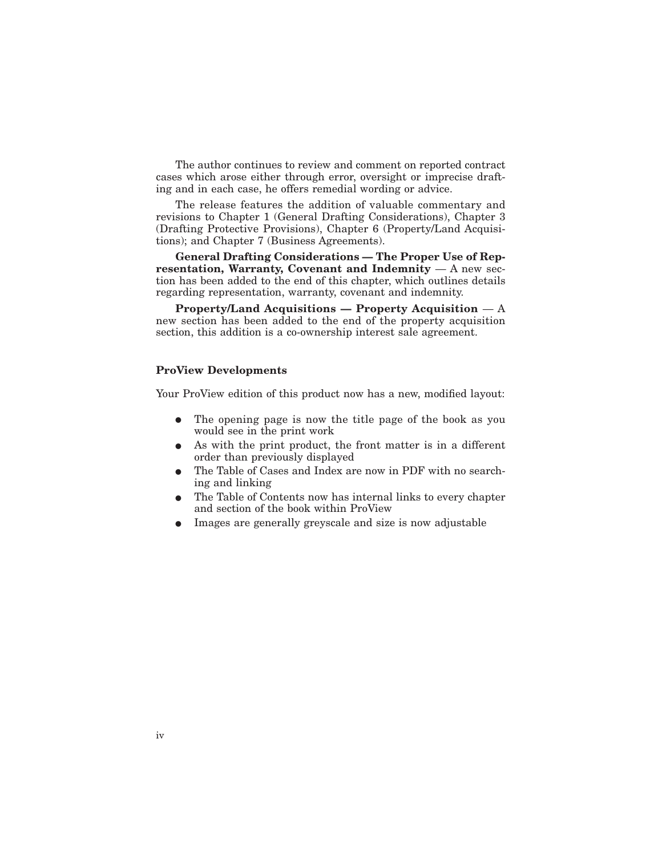The author continues to review and comment on reported contract cases which arose either through error, oversight or imprecise drafting and in each case, he offers remedial wording or advice.

The release features the addition of valuable commentary and revisions to Chapter 1 (General Drafting Considerations), Chapter 3 (Drafting Protective Provisions), Chapter 6 (Property/Land Acquisitions); and Chapter 7 (Business Agreements).

**General Drafting Considerations — The Proper Use of Representation, Warranty, Covenant and Indemnity** — A new section has been added to the end of this chapter, which outlines details regarding representation, warranty, covenant and indemnity.

**Property/Land Acquisitions — Property Acquisition** — A new section has been added to the end of the property acquisition section, this addition is a co-ownership interest sale agreement.

#### **ProView Developments**

Your ProView edition of this product now has a new, modified layout:

- The opening page is now the title page of the book as you would see in the print work
- As with the print product, the front matter is in a different order than previously displayed
- The Table of Cases and Index are now in PDF with no searching and linking
- The Table of Contents now has internal links to every chapter and section of the book within ProView
- E Images are generally greyscale and size is now adjustable